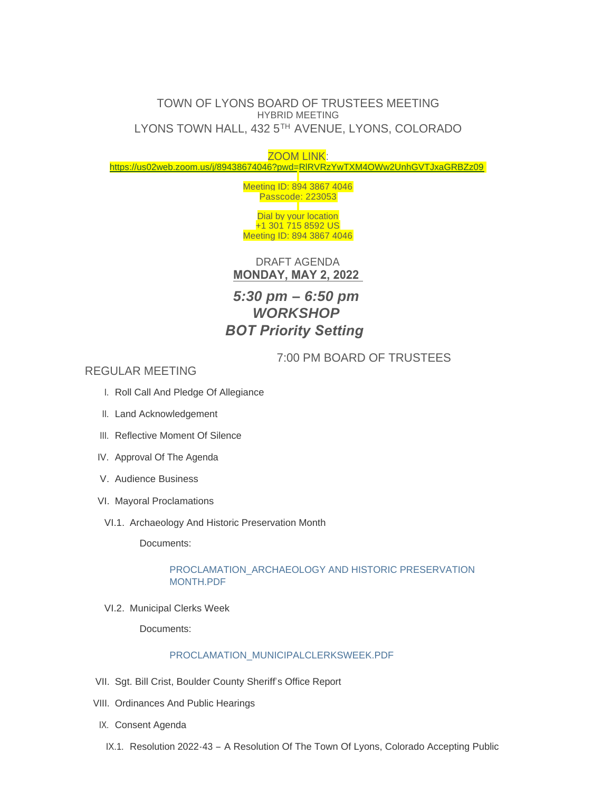# TOWN OF LYONS BOARD OF TRUSTEES MEETING HYBRID MEETING LYONS TOWN HALL, 432 5TH AVENUE, LYONS, COLORADO

# ZOOM LINK: <https://us02web.zoom.us/j/89438674046?pwd=RlRVRzYwTXM4OWw2UnhGVTJxaGRBZz09>

Meeting ID: 894 3867 4046 Passcode: 223053

Dial by your location +1 301 715 8592 US Meeting ID: 894 3867 4046

DRAFT AGENDA **MONDAY, MAY 2, 2022** 

# *5:30 pm – 6:50 pm WORKSHOP BOT Priority Setting*

7:00 PM BOARD OF TRUSTEES

REGULAR MEETING

- I. Roll Call And Pledge Of Allegiance
- II. Land Acknowledgement
- III. Reflective Moment Of Silence
- IV. Approval Of The Agenda
- V. Audience Business
- VI. Mayoral Proclamations
- VI.1. Archaeology And Historic Preservation Month

Documents:

# PROCLAMATION\_ARCHAEOLOGY AND HISTORIC PRESERVATION MONTH.PDF

VI.2. Municipal Clerks Week

Documents:

# [PROCLAMATION\\_MUNICIPALCLERKSWEEK.PDF](https://www.townoflyons.com/AgendaCenter/ViewFile/Item/10134?fileID=21049)

- VII. Sgt. Bill Crist, Boulder County Sheriff's Office Report
- VIII. Ordinances And Public Hearings
- IX. Consent Agenda
	- IX.1. Resolution 2022-43 A Resolution Of The Town Of Lyons, Colorado Accepting Public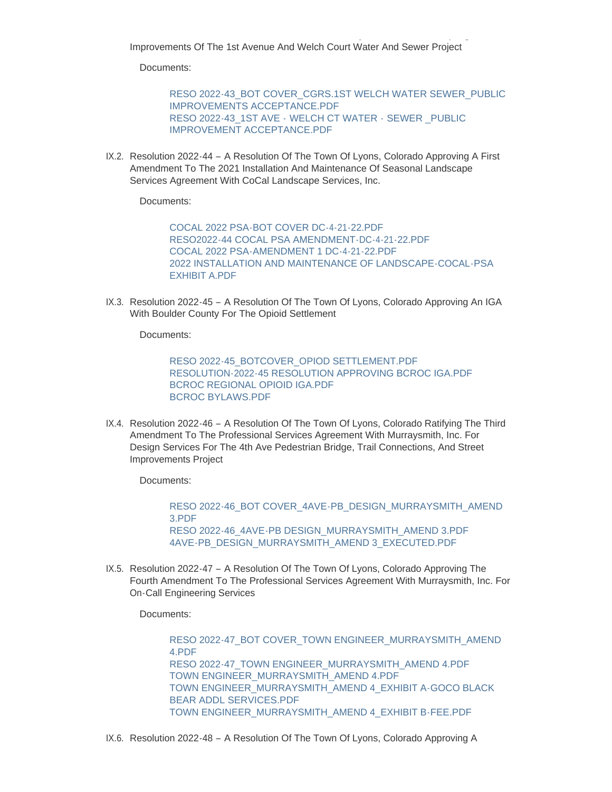Improvements Of The 1st Avenue And Welch Court Water And Sewer Project

Resolution 2022-43 – A Resolution Of The Town Of Lyons, Colorado Accepting Public

Documents:

[RESO 2022-43\\_BOT COVER\\_CGRS.1ST WELCH WATER SEWER\\_PUBLIC](https://www.townoflyons.com/AgendaCenter/ViewFile/Item/10135?fileID=21055)  IMPROVEMENTS ACCEPTANCE.PDF RESO 2022-43\_1ST AVE - WELCH CT WATER - SEWER \_PUBLIC [IMPROVEMENT ACCEPTANCE.PDF](https://www.townoflyons.com/AgendaCenter/ViewFile/Item/10135?fileID=21056)

IX.2. Resolution 2022-44 - A Resolution Of The Town Of Lyons, Colorado Approving A First Amendment To The 2021 Installation And Maintenance Of Seasonal Landscape Services Agreement With CoCal Landscape Services, Inc.

Documents:

[COCAL 2022 PSA-BOT COVER DC-4-21-22.PDF](https://www.townoflyons.com/AgendaCenter/ViewFile/Item/10136?fileID=21058) [RESO2022-44 COCAL PSA AMENDMENT-DC-4-21-22.PDF](https://www.townoflyons.com/AgendaCenter/ViewFile/Item/10136?fileID=21059) [COCAL 2022 PSA-AMENDMENT 1 DC-4-21-22.PDF](https://www.townoflyons.com/AgendaCenter/ViewFile/Item/10136?fileID=21057) [2022 INSTALLATION AND MAINTENANCE OF LANDSCAPE-COCAL-PSA](https://www.townoflyons.com/AgendaCenter/ViewFile/Item/10136?fileID=21060)  EXHIBIT A.PDF

IX.3. Resolution 2022-45 - A Resolution Of The Town Of Lyons, Colorado Approving An IGA With Boulder County For The Opioid Settlement

Documents:

[RESO 2022-45\\_BOTCOVER\\_OPIOD SETTLEMENT.PDF](https://www.townoflyons.com/AgendaCenter/ViewFile/Item/10137?fileID=21094) [RESOLUTION-2022-45 RESOLUTION APPROVING BCROC IGA.PDF](https://www.townoflyons.com/AgendaCenter/ViewFile/Item/10137?fileID=21063) [BCROC REGIONAL OPIOID IGA.PDF](https://www.townoflyons.com/AgendaCenter/ViewFile/Item/10137?fileID=21062) [BCROC BYLAWS.PDF](https://www.townoflyons.com/AgendaCenter/ViewFile/Item/10137?fileID=21061)

IX.4. Resolution 2022-46 - A Resolution Of The Town Of Lyons, Colorado Ratifying The Third Amendment To The Professional Services Agreement With Murraysmith, Inc. For Design Services For The 4th Ave Pedestrian Bridge, Trail Connections, And Street Improvements Project

Documents:

[RESO 2022-46\\_BOT COVER\\_4AVE-PB\\_DESIGN\\_MURRAYSMITH\\_AMEND](https://www.townoflyons.com/AgendaCenter/ViewFile/Item/10138?fileID=21066)  3.PDF [RESO 2022-46\\_4AVE-PB DESIGN\\_MURRAYSMITH\\_AMEND 3.PDF](https://www.townoflyons.com/AgendaCenter/ViewFile/Item/10138?fileID=21065) [4AVE-PB\\_DESIGN\\_MURRAYSMITH\\_AMEND 3\\_EXECUTED.PDF](https://www.townoflyons.com/AgendaCenter/ViewFile/Item/10138?fileID=21064)

IX.5. Resolution 2022-47 – A Resolution Of The Town Of Lyons, Colorado Approving The Fourth Amendment To The Professional Services Agreement With Murraysmith, Inc. For On-Call Engineering Services

Documents:

RESO 2022-47\_BOT COVER\_TOWN ENGINEER\_MURRAYSMITH\_AMEND 4.PDF [RESO 2022-47\\_TOWN ENGINEER\\_MURRAYSMITH\\_AMEND 4.PDF](https://www.townoflyons.com/AgendaCenter/ViewFile/Item/10139?fileID=21071) [TOWN ENGINEER\\_MURRAYSMITH\\_AMEND 4.PDF](https://www.townoflyons.com/AgendaCenter/ViewFile/Item/10139?fileID=21067) [TOWN ENGINEER\\_MURRAYSMITH\\_AMEND 4\\_EXHIBIT A-GOCO BLACK](https://www.townoflyons.com/AgendaCenter/ViewFile/Item/10139?fileID=21068)  BEAR ADDL SERVICES.PDF [TOWN ENGINEER\\_MURRAYSMITH\\_AMEND 4\\_EXHIBIT B-FEE.PDF](https://www.townoflyons.com/AgendaCenter/ViewFile/Item/10139?fileID=21069)

IX.6. Resolution 2022-48 – A Resolution Of The Town Of Lyons, Colorado Approving A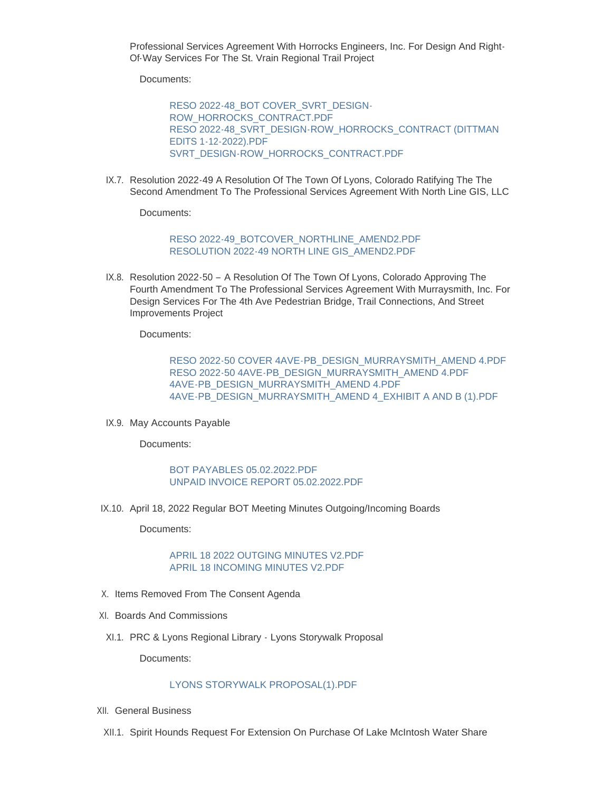Professional Services Agreement With Horrocks Engineers, Inc. For Design And Right-Of-Way Services For The St. Vrain Regional Trail Project

Documents:

[RESO 2022-48\\_BOT COVER\\_SVRT\\_DESIGN-](https://www.townoflyons.com/AgendaCenter/ViewFile/Item/10140?fileID=21072)ROW\_HORROCKS\_CONTRACT.PDF [RESO 2022-48\\_SVRT\\_DESIGN-ROW\\_HORROCKS\\_CONTRACT \(DITTMAN](https://www.townoflyons.com/AgendaCenter/ViewFile/Item/10140?fileID=21073)  EDITS 1-12-2022).PDF [SVRT\\_DESIGN-ROW\\_HORROCKS\\_CONTRACT.PDF](https://www.townoflyons.com/AgendaCenter/ViewFile/Item/10140?fileID=21074)

IX.7. Resolution 2022-49 A Resolution Of The Town Of Lyons, Colorado Ratifying The The Second Amendment To The Professional Services Agreement With North Line GIS, LLC

Documents:

[RESO 2022-49\\_BOTCOVER\\_NORTHLINE\\_AMEND2.PDF](https://www.townoflyons.com/AgendaCenter/ViewFile/Item/10141?fileID=21079) [RESOLUTION 2022-49 NORTH LINE GIS\\_AMEND2.PDF](https://www.townoflyons.com/AgendaCenter/ViewFile/Item/10141?fileID=21080)

IX.8. Resolution 2022-50 - A Resolution Of The Town Of Lyons, Colorado Approving The Fourth Amendment To The Professional Services Agreement With Murraysmith, Inc. For Design Services For The 4th Ave Pedestrian Bridge, Trail Connections, And Street Improvements Project

Documents:

[RESO 2022-50 COVER 4AVE-PB\\_DESIGN\\_MURRAYSMITH\\_AMEND 4.PDF](https://www.townoflyons.com/AgendaCenter/ViewFile/Item/10142?fileID=21076) [RESO 2022-50 4AVE-PB\\_DESIGN\\_MURRAYSMITH\\_AMEND 4.PDF](https://www.townoflyons.com/AgendaCenter/ViewFile/Item/10142?fileID=21075) [4AVE-PB\\_DESIGN\\_MURRAYSMITH\\_AMEND 4.PDF](https://www.townoflyons.com/AgendaCenter/ViewFile/Item/10142?fileID=21078) [4AVE-PB\\_DESIGN\\_MURRAYSMITH\\_AMEND 4\\_EXHIBIT A AND B \(1\).PDF](https://www.townoflyons.com/AgendaCenter/ViewFile/Item/10142?fileID=21077)

IX.9. May Accounts Payable

Documents:

#### [BOT PAYABLES 05.02.2022.PDF](https://www.townoflyons.com/AgendaCenter/ViewFile/Item/10143?fileID=21051) [UNPAID INVOICE REPORT 05.02.2022.PDF](https://www.townoflyons.com/AgendaCenter/ViewFile/Item/10143?fileID=21050)

IX.10. April 18, 2022 Regular BOT Meeting Minutes Outgoing/Incoming Boards

Documents:

## [APRIL 18 2022 OUTGING MINUTES V2.PDF](https://www.townoflyons.com/AgendaCenter/ViewFile/Item/10144?fileID=21052) [APRIL 18 INCOMING MINUTES V2.PDF](https://www.townoflyons.com/AgendaCenter/ViewFile/Item/10144?fileID=21053)

- X. Items Removed From The Consent Agenda
- XI. Boards And Commissions
- XI.1. PRC & Lyons Regional Library Lyons Storywalk Proposal

Documents:

## [LYONS STORYWALK PROPOSAL\(1\).PDF](https://www.townoflyons.com/AgendaCenter/ViewFile/Item/10145?fileID=21054)

- XII. General Business
- XII.1. Spirit Hounds Request For Extension On Purchase Of Lake McIntosh Water Share